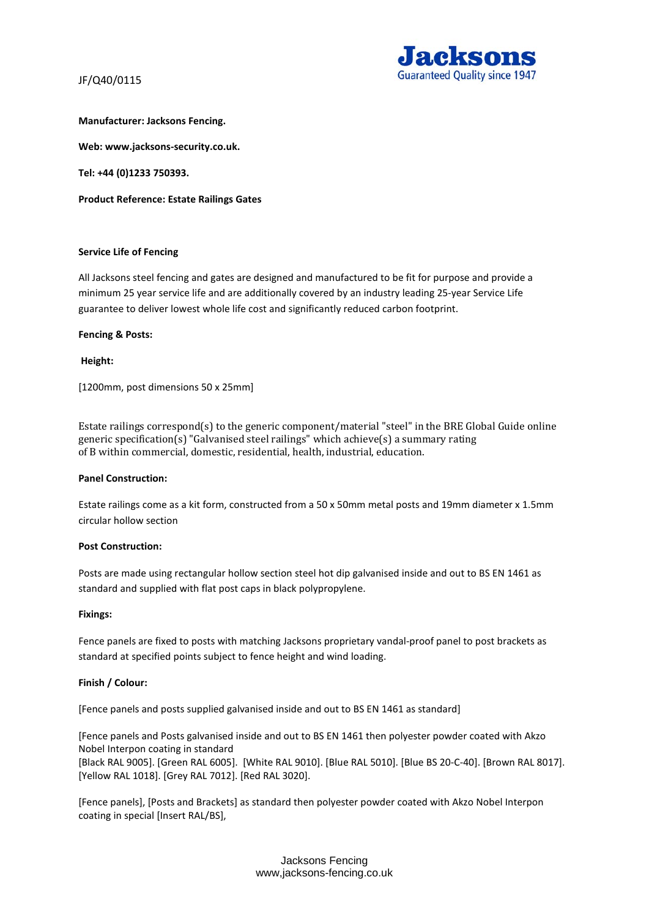

# **Manufacturer: Jacksons Fencing.**

**Web: www.jacksons-security.co.uk.** 

**Tel: +44 (0)1233 750393.** 

**Product Reference: Estate Railings Gates** 

### **Service Life of Fencing**

All Jacksons steel fencing and gates are designed and manufactured to be fit for purpose and provide a minimum 25 year service life and are additionally covered by an industry leading 25-year Service Life guarantee to deliver lowest whole life cost and significantly reduced carbon footprint.

### **Fencing & Posts:**

**Height:** 

[1200mm, post dimensions 50 x 25mm]

Estate railings correspond(s) to the generic component/material "steel" in the BRE Global Guide online generic specification(s) "Galvanised steel railings" which achieve(s) a summary rating of B within commercial, domestic, residential, health, industrial, education.

#### **Panel Construction:**

Estate railings come as a kit form, constructed from a 50 x 50mm metal posts and 19mm diameter x 1.5mm circular hollow section

#### **Post Construction:**

Posts are made using rectangular hollow section steel hot dip galvanised inside and out to BS EN 1461 as standard and supplied with flat post caps in black polypropylene.

#### **Fixings:**

Fence panels are fixed to posts with matching Jacksons proprietary vandal-proof panel to post brackets as standard at specified points subject to fence height and wind loading.

# **Finish / Colour:**

[Fence panels and posts supplied galvanised inside and out to BS EN 1461 as standard]

[Fence panels and Posts galvanised inside and out to BS EN 1461 then polyester powder coated with Akzo Nobel Interpon coating in standard [Black RAL 9005]. [Green RAL 6005]. [White RAL 9010]. [Blue RAL 5010]. [Blue BS 20-C-40]. [Brown RAL 8017]. [Yellow RAL 1018]. [Grey RAL 7012]. [Red RAL 3020].

[Fence panels], [Posts and Brackets] as standard then polyester powder coated with Akzo Nobel Interpon coating in special [Insert RAL/BS],

> Jacksons Fencing www,jacksons-fencing.co.uk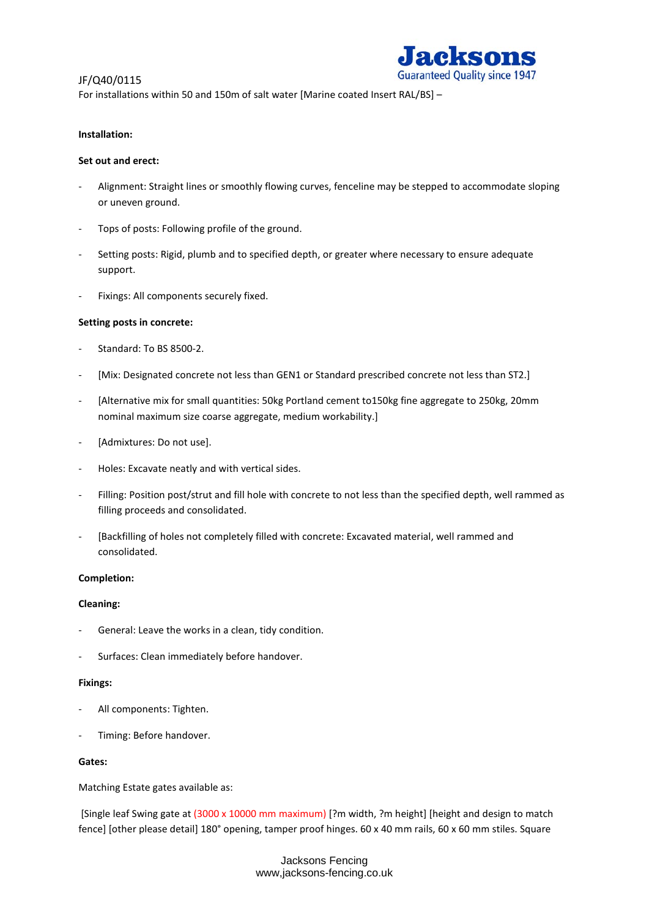

For installations within 50 and 150m of salt water [Marine coated Insert RAL/BS] –

### **Installation:**

### **Set out and erect:**

- Alignment: Straight lines or smoothly flowing curves, fenceline may be stepped to accommodate sloping or uneven ground.
- Tops of posts: Following profile of the ground.
- Setting posts: Rigid, plumb and to specified depth, or greater where necessary to ensure adequate support.
- Fixings: All components securely fixed.

# **Setting posts in concrete:**

- Standard: To BS 8500-2.
- [Mix: Designated concrete not less than GEN1 or Standard prescribed concrete not less than ST2.]
- [Alternative mix for small quantities: 50kg Portland cement to150kg fine aggregate to 250kg, 20mm nominal maximum size coarse aggregate, medium workability.]
- [Admixtures: Do not use].
- Holes: Excavate neatly and with vertical sides.
- Filling: Position post/strut and fill hole with concrete to not less than the specified depth, well rammed as filling proceeds and consolidated.
- [Backfilling of holes not completely filled with concrete: Excavated material, well rammed and consolidated.

#### **Completion:**

# **Cleaning:**

- General: Leave the works in a clean, tidy condition.
- Surfaces: Clean immediately before handover.

# **Fixings:**

- All components: Tighten.
- Timing: Before handover.

#### **Gates:**

Matching Estate gates available as:

[Single leaf Swing gate at (3000 x 10000 mm maximum) [?m width, ?m height] [height and design to match fence] [other please detail] 180° opening, tamper proof hinges. 60 x 40 mm rails, 60 x 60 mm stiles. Square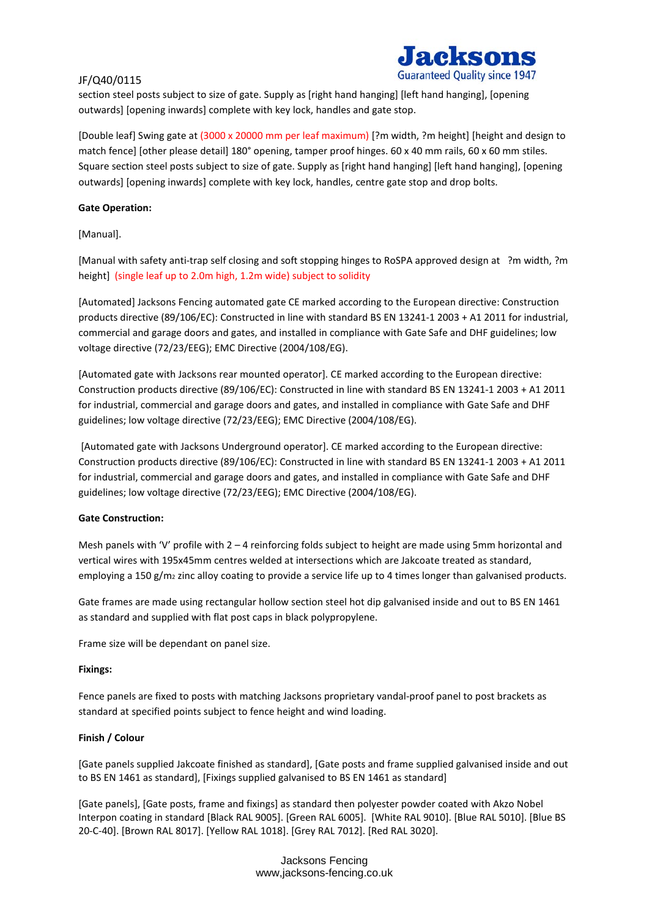section steel posts subject to size of gate. Supply as [right hand hanging] [left hand hanging], [opening outwards] [opening inwards] complete with key lock, handles and gate stop.

[Double leaf] Swing gate at (3000 x 20000 mm per leaf maximum) [?m width, ?m height] [height and design to match fence] [other please detail] 180° opening, tamper proof hinges. 60 x 40 mm rails, 60 x 60 mm stiles. Square section steel posts subject to size of gate. Supply as [right hand hanging] [left hand hanging], [opening outwards] [opening inwards] complete with key lock, handles, centre gate stop and drop bolts.

### **Gate Operation:**

[Manual].

[Manual with safety anti-trap self closing and soft stopping hinges to RoSPA approved design at ?m width, ?m height] (single leaf up to 2.0m high, 1.2m wide) subject to solidity

[Automated] Jacksons Fencing automated gate CE marked according to the European directive: Construction products directive (89/106/EC): Constructed in line with standard BS EN 13241-1 2003 + A1 2011 for industrial, commercial and garage doors and gates, and installed in compliance with Gate Safe and DHF guidelines; low voltage directive (72/23/EEG); EMC Directive (2004/108/EG).

[Automated gate with Jacksons rear mounted operator]. CE marked according to the European directive: Construction products directive (89/106/EC): Constructed in line with standard BS EN 13241-1 2003 + A1 2011 for industrial, commercial and garage doors and gates, and installed in compliance with Gate Safe and DHF guidelines; low voltage directive (72/23/EEG); EMC Directive (2004/108/EG).

[Automated gate with Jacksons Underground operator]. CE marked according to the European directive: Construction products directive (89/106/EC): Constructed in line with standard BS EN 13241-1 2003 + A1 2011 for industrial, commercial and garage doors and gates, and installed in compliance with Gate Safe and DHF guidelines; low voltage directive (72/23/EEG); EMC Directive (2004/108/EG).

# **Gate Construction:**

Mesh panels with 'V' profile with 2 – 4 reinforcing folds subject to height are made using 5mm horizontal and vertical wires with 195x45mm centres welded at intersections which are Jakcoate treated as standard, employing a 150 g/m<sub>2</sub> zinc alloy coating to provide a service life up to 4 times longer than galvanised products.

Gate frames are made using rectangular hollow section steel hot dip galvanised inside and out to BS EN 1461 as standard and supplied with flat post caps in black polypropylene.

Frame size will be dependant on panel size.

#### **Fixings:**

Fence panels are fixed to posts with matching Jacksons proprietary vandal-proof panel to post brackets as standard at specified points subject to fence height and wind loading.

# **Finish / Colour**

[Gate panels supplied Jakcoate finished as standard], [Gate posts and frame supplied galvanised inside and out to BS EN 1461 as standard], [Fixings supplied galvanised to BS EN 1461 as standard]

[Gate panels], [Gate posts, frame and fixings] as standard then polyester powder coated with Akzo Nobel Interpon coating in standard [Black RAL 9005]. [Green RAL 6005]. [White RAL 9010]. [Blue RAL 5010]. [Blue BS 20-C-40]. [Brown RAL 8017]. [Yellow RAL 1018]. [Grey RAL 7012]. [Red RAL 3020].

> Jacksons Fencing www,jacksons-fencing.co.uk